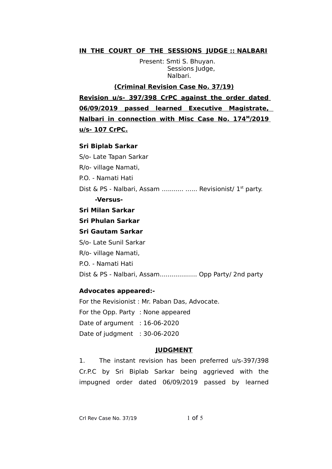# **IN THE COURT OF THE SESSIONS JUDGE :: NALBARI**

Present: Smti S. Bhuyan. Sessions Judge, Nalbari.

**(Criminal Revision Case No. 37/19) Revision u/s- 397/398 CrPC against the order dated 06/09/2019 passed learned Executive Magistrate, Nalbari in connection with Misc Case No. 174<sup>M</sup>/2019 u/s- 107 CrPC.**

## **Sri Biplab Sarkar**

S/o- Late Tapan Sarkar R/o- village Namati, P.O. - Namati Hati Dist & PS - Nalbari, Assam ........... ...... Revisionist/ 1<sup>st</sup> party. **-Versus-Sri Milan Sarkar Sri Phulan Sarkar Sri Gautam Sarkar**

S/o- Late Sunil Sarkar R/o- village Namati, P.O. - Namati Hati Dist & PS - Nalbari, Assam...............…. Opp Party/ 2nd party

## **Advocates appeared:-**

For the Revisionist : Mr. Paban Das, Advocate. For the Opp. Party : None appeared Date of argument : 16-06-2020 Date of judgment : 30-06-2020

## **JUDGMENT**

1. The instant revision has been preferred u/s-397/398 Cr.P.C by Sri Biplab Sarkar being aggrieved with the impugned order dated 06/09/2019 passed by learned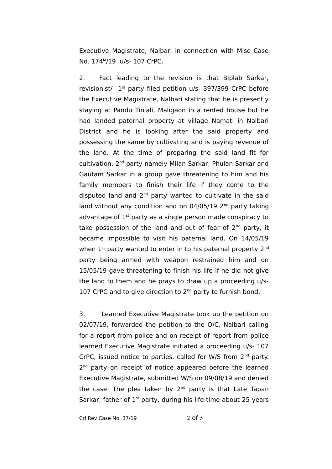Executive Magistrate, Nalbari in connection with Misc Case No. 174<sup>M</sup> /19 u/s- 107 CrPC.

2. Fact leading to the revision is that Biplab Sarkar, revisionist/ 1st party filed petition u/s- 397/399 CrPC before the Executive Magistrate, Nalbari stating that he is presently staying at Pandu Tiniali, Maligaon in a rented house but he had landed paternal property at village Namati in Nalbari District and he is looking after the said property and possessing the same by cultivating and is paying revenue of the land. At the time of preparing the said land fit for cultivation, 2<sup>nd</sup> party namely Milan Sarkar, Phulan Sarkar and Gautam Sarkar in a group gave threatening to him and his family members to finish their life if they come to the disputed land and 2<sup>nd</sup> party wanted to cultivate in the said land without any condition and on  $04/05/19$  2<sup>nd</sup> party taking advantage of  $1<sup>st</sup>$  party as a single person made conspiracy to take possession of the land and out of fear of  $2^{nd}$  party, it became impossible to visit his paternal land. On 14/05/19 when  $1<sup>st</sup>$  party wanted to enter in to his paternal property  $2<sup>nd</sup>$ party being armed with weapon restrained him and on 15/05/19 gave threatening to finish his life if he did not give the land to them and he prays to draw up a proceeding u/s-107 CrPC and to give direction to  $2<sup>nd</sup>$  party to furnish bond.

3. Learned Executive Magistrate took up the petition on 02/07/19, forwarded the petition to the O/C, Nalbari calling for a report from police and on receipt of report from police learned Executive Magistrate initiated a proceeding u/s- 107 CrPC, issued notice to parties, called for W/S from  $2^{nd}$  party. 2<sup>nd</sup> party on receipt of notice appeared before the learned Executive Magistrate, submitted W/S on 09/08/19 and denied the case. The plea taken by 2<sup>nd</sup> party is that Late Tapan Sarkar, father of  $1<sup>st</sup>$  party, during his life time about 25 years

Crl Rev Case No. 37/19 2 of 5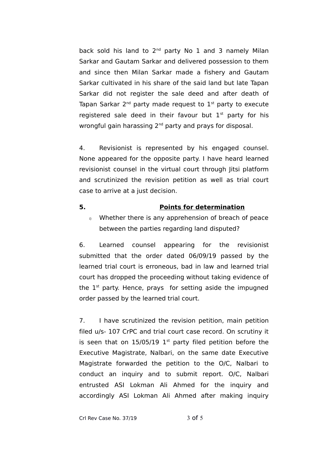back sold his land to  $2^{nd}$  party No 1 and 3 namely Milan Sarkar and Gautam Sarkar and delivered possession to them and since then Milan Sarkar made a fishery and Gautam Sarkar cultivated in his share of the said land but late Tapan Sarkar did not register the sale deed and after death of Tapan Sarkar 2<sup>nd</sup> party made request to 1st party to execute registered sale deed in their favour but  $1<sup>st</sup>$  party for his wrongful gain harassing 2<sup>nd</sup> party and prays for disposal.

4. Revisionist is represented by his engaged counsel. None appeared for the opposite party. I have heard learned revisionist counsel in the virtual court through Jitsi platform and scrutinized the revision petition as well as trial court case to arrive at a just decision.

#### **5. Points for determination**

 $i)$  Whether there is any apprehension of breach of peace between the parties regarding land disputed?

6. Learned counsel appearing for the revisionist submitted that the order dated 06/09/19 passed by the learned trial court is erroneous, bad in law and learned trial court has dropped the proceeding without taking evidence of the  $1<sup>st</sup>$  party. Hence, prays for setting aside the impugned order passed by the learned trial court.

7. I have scrutinized the revision petition, main petition filed u/s- 107 CrPC and trial court case record. On scrutiny it is seen that on  $15/05/19$  1<sup>st</sup> party filed petition before the Executive Magistrate, Nalbari, on the same date Executive Magistrate forwarded the petition to the O/C, Nalbari to conduct an inquiry and to submit report. O/C, Nalbari entrusted ASI Lokman Ali Ahmed for the inquiry and accordingly ASI Lokman Ali Ahmed after making inquiry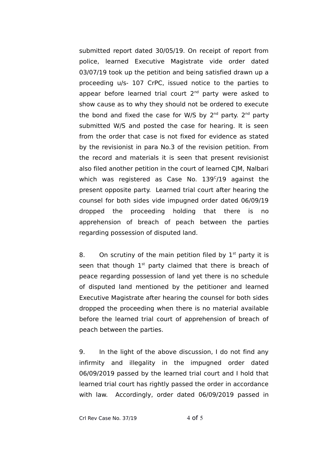submitted report dated 30/05/19. On receipt of report from police, learned Executive Magistrate vide order dated 03/07/19 took up the petition and being satisfied drawn up a proceeding u/s- 107 CrPC, issued notice to the parties to appear before learned trial court 2<sup>nd</sup> party were asked to show cause as to why they should not be ordered to execute the bond and fixed the case for W/S by 2<sup>nd</sup> party. 2<sup>nd</sup> party submitted W/S and posted the case for hearing. It is seen from the order that case is not fixed for evidence as stated by the revisionist in para No.3 of the revision petition. From the record and materials it is seen that present revisionist also filed another petition in the court of learned CJM, Nalbari which was registered as Case No.  $139^{\circ}/19$  against the present opposite party. Learned trial court after hearing the counsel for both sides vide impugned order dated 06/09/19 dropped the proceeding holding that there is no apprehension of breach of peach between the parties regarding possession of disputed land.

8. On scrutiny of the main petition filed by  $1<sup>st</sup>$  party it is seen that though  $1<sup>st</sup>$  party claimed that there is breach of peace regarding possession of land yet there is no schedule of disputed land mentioned by the petitioner and learned Executive Magistrate after hearing the counsel for both sides dropped the proceeding when there is no material available before the learned trial court of apprehension of breach of peach between the parties.

9. In the light of the above discussion, I do not find any infirmity and illegality in the impugned order dated 06/09/2019 passed by the learned trial court and I hold that learned trial court has rightly passed the order in accordance with law. Accordingly, order dated 06/09/2019 passed in